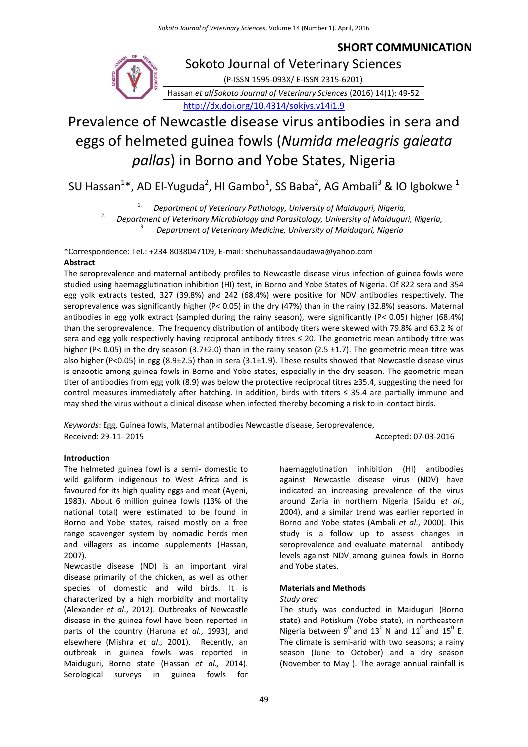# **SHORT COMMUNICATION**



# Prevalence of Newcastle disease virus antibodies in sera and eggs of helmeted guinea fowls (*Numida meleagris galeata pallas*) in Borno and Yobe States, Nigeria

SU Hassan<sup>1</sup>\*, AD El-Yuguda<sup>2</sup>, HI Gambo<sup>1</sup>, SS Baba<sup>2</sup>, AG Ambali<sup>3</sup> & IO Igbokwe<sup>1</sup>

1. *Department of Veterinary Pathology, University of Maiduguri, Nigeria,*

2. *Department of Veterinary Microbiology and Parasitology, University of Maiduguri, Nigeria,* 3. *Department of Veterinary Medicine, University of Maiduguri, Nigeria*

\*Correspondence: Tel.: +234 8038047109, E-mail: shehuhassandaudawa@yahoo.com

# **Abstract**

The seroprevalence and maternal antibody profiles to Newcastle disease virus infection of guinea fowls were studied using haemagglutination inhibition (HI) test, in Borno and Yobe States of Nigeria. Of 822 sera and 354 egg yolk extracts tested, 327 (39.8%) and 242 (68.4%) were positive for NDV antibodies respectively. The seroprevalence was significantly higher (P< 0.05) in the dry (47%) than in the rainy (32.8%) seasons. Maternal antibodies in egg yolk extract (sampled during the rainy season), were significantly (P< 0.05) higher (68.4%) than the seroprevalence. The frequency distribution of antibody titers were skewed with 79.8% and 63.2 % of sera and egg yolk respectively having reciprocal antibody titres ≤ 20. The geometric mean antibody titre was higher (P< 0.05) in the dry season (3.7±2.0) than in the rainy season (2.5 ±1.7). The geometric mean titre was also higher (P<0.05) in egg (8.9±2.5) than in sera (3.1±1.9). These results showed that Newcastle disease virus is enzootic among guinea fowls in Borno and Yobe states, especially in the dry season. The geometric mean titer of antibodies from egg yolk (8.9) was below the protective reciprocal titres ≥35.4, suggesting the need for control measures immediately after hatching. In addition, birds with titers ≤ 35.4 are partially immune and may shed the virus without a clinical disease when infected thereby becoming a risk to in-contact birds.

*Keywords*: Egg, Guinea fowls, Maternal antibodies Newcastle disease, Seroprevalence, Received: 29-11- 2015 **Accepted: 07-03-2016** Accepted: 07-03-2016

# **Introduction**

The helmeted guinea fowl is a semi- domestic to wild galiform indigenous to West Africa and is favoured for its high quality eggs and meat (Ayeni, 1983). About 6 million guinea fowls (13% of the national total) were estimated to be found in Borno and Yobe states, raised mostly on a free range scavenger system by nomadic herds men and villagers as income supplements (Hassan, 2007).

Newcastle disease (ND) is an important viral disease primarily of the chicken, as well as other species of domestic and wild birds. It is characterized by a high morbidity and mortality (Alexander *et al*., 2012). Outbreaks of Newcastle disease in the guinea fowl have been reported in parts of the country (Haruna *et al.*, 1993), and elsewhere (Mishra *et al*., 2001). Recently, an outbreak in guinea fowls was reported in Maiduguri, Borno state (Hassan *et al.,* 2014). Serological surveys in guinea fowls for

haemagglutination inhibition (HI) antibodies against Newcastle disease virus (NDV) have indicated an increasing prevalence of the virus around Zaria in northern Nigeria (Saidu *et al*., 2004), and a similar trend was earlier reported in Borno and Yobe states (Ambali *et al*., 2000). This study is a follow up to assess changes in seroprevalence and evaluate maternal antibody levels against NDV among guinea fowls in Borno and Yobe states.

# **Materials and Methods**

# *Study area*

The study was conducted in Maiduguri (Borno state) and Potiskum (Yobe state), in northeastern Nigeria between  $9^0$  and  $13^0$  N and  $11^0$  and  $15^0$  E. The climate is semi-arid with two seasons; a rainy season (June to October) and a dry season (November to May ). The avrage annual rainfall is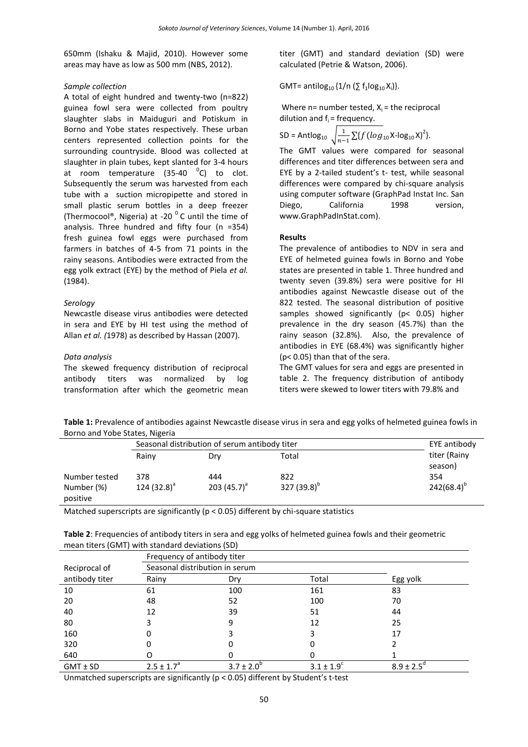650mm (Ishaku & Majid, 2010). However some areas may have as low as 500 mm (NBS, 2012).

#### *Sample collection*

A total of eight hundred and twenty-two (n=822) guinea fowl sera were collected from poultry slaughter slabs in Maiduguri and Potiskum in Borno and Yobe states respectively. These urban centers represented collection points for the surrounding countryside. Blood was collected at slaughter in plain tubes, kept slanted for 3-4 hours at room temperature  $(35-40 \text{ } ^{0}C)$  to clot. Subsequently the serum was harvested from each tube with a suction micropipette and stored in small plastic serum bottles in a deep freezer (Thermocool®, Nigeria) at -20 $^{\circ}$ C until the time of analysis. Three hundred and fifty four (n =354) fresh guinea fowl eggs were purchased from farmers in batches of 4-5 from 71 points in the rainy seasons. Antibodies were extracted from the egg yolk extract (EYE) by the method of Piela *et al.* (1984).

#### *Serology*

Newcastle disease virus antibodies were detected in sera and EYE by HI test using the method of Allan *et al. (*1978) as described by Hassan (2007).

#### *Data analysis*

The skewed frequency distribution of reciprocal antibody titers was normalized by log transformation after which the geometric mean titer (GMT) and standard deviation (SD) were calculated (Petrie & Watson, 2006).

GMT= antilog<sub>10</sub>  $\{1/n \ (\sum f_1 \log_{10} X_i)\}.$ 

Where n= number tested,  $X_i$  = the reciprocal dilution and  $f_i$  = frequency.

SD = Antlog<sub>10</sub> 
$$
\sqrt{\frac{1}{n-1} \sum \{f (log_{10} X - log_{10} X)^2\}}
$$
.

The GMT values were compared for seasonal differences and titer differences between sera and EYE by a 2-tailed student's t- test, while seasonal differences were compared by chi-square analysis using computer software (GraphPad Instat Inc. San Diego, California 1998 version, [www.GraphPadInStat.com\)](http://www.graphpadinstat.com/).

#### **Results**

The prevalence of antibodies to NDV in sera and EYE of helmeted guinea fowls in Borno and Yobe states are presented in table 1. Three hundred and twenty seven (39.8%) sera were positive for HI antibodies against Newcastle disease out of the 822 tested. The seasonal distribution of positive samples showed significantly (p< 0.05) higher prevalence in the dry season (45.7%) than the rainy season (32.8%). Also, the prevalence of antibodies in EYE (68.4%) was significantly higher (p< 0.05) than that of the sera.

The GMT values for sera and eggs are presented in table 2. The frequency distribution of antibody titers were skewed to lower titers with 79.8% and

**Table 1:** Prevalence of antibodies against Newcastle disease virus in sera and egg yolks of helmeted guinea fowls in Borno and Yobe States, Nigeria

|                                         | Seasonal distribution of serum antibody titer | EYE antibody          |                         |                         |  |  |  |  |
|-----------------------------------------|-----------------------------------------------|-----------------------|-------------------------|-------------------------|--|--|--|--|
|                                         | Rainy                                         | Drv                   | Total                   | titer (Rainy<br>season) |  |  |  |  |
| Number tested<br>Number (%)<br>positive | 378<br>124 $(32.8)^{a}$                       | 444<br>203 $(45.7)^a$ | 822<br>327 $(39.8)^{b}$ | 354<br>$242(68.4)^{b}$  |  |  |  |  |

Matched superscripts are significantly (p < 0.05) different by chi-square statistics

| <b>Table 2:</b> Frequencies of antibody titers in sera and egg yolks of helmeted guinea fowls and their geometric |
|-------------------------------------------------------------------------------------------------------------------|
| mean titers (GMT) with standard deviations (SD)                                                                   |

|                | Frequency of antibody titer    |               |           |               |  |  |  |
|----------------|--------------------------------|---------------|-----------|---------------|--|--|--|
| Reciprocal of  | Seasonal distribution in serum |               |           |               |  |  |  |
| antibody titer | Rainy                          | Dry           | Total     | Egg yolk      |  |  |  |
| 10             | 61                             | 100           | 161       | 83            |  |  |  |
| 20             | 48                             | 52            | 100       | 70            |  |  |  |
| 40             | 12                             | 39            | 51        | 44            |  |  |  |
| 80             | 3                              | 9             | 12        | 25            |  |  |  |
| 160            | 0                              |               | 3         | 17            |  |  |  |
| 320            |                                |               |           |               |  |  |  |
| 640            |                                |               |           |               |  |  |  |
| $GMT \pm SD$   | $2.5 \pm 1.7^a$                | $3.7 \pm 2.0$ | $31 + 19$ | $8.9 \pm 2.5$ |  |  |  |

Unmatched superscripts are significantly (p < 0.05) different by Student's t-test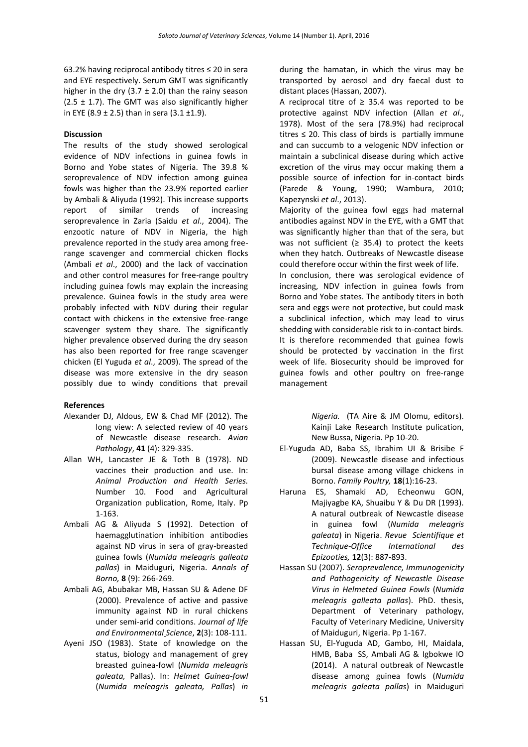63.2% having reciprocal antibody titres ≤ 20 in sera and EYE respectively. Serum GMT was significantly higher in the dry (3.7  $\pm$  2.0) than the rainy season (2.5  $\pm$  1.7). The GMT was also significantly higher in EYE (8.9  $\pm$  2.5) than in sera (3.1  $\pm$ 1.9).

# **Discussion**

The results of the study showed serological evidence of NDV infections in guinea fowls in Borno and Yobe states of Nigeria. The 39.8 % seroprevalence of NDV infection among guinea fowls was higher than the 23.9% reported earlier by Ambali & Aliyuda (1992). This increase supports report of similar trends of increasing seroprevalence in Zaria (Saidu *et al*., 2004). The enzootic nature of NDV in Nigeria, the high prevalence reported in the study area among freerange scavenger and commercial chicken flocks (Ambali *et al*., 2000) and the lack of vaccination and other control measures for free-range poultry including guinea fowls may explain the increasing prevalence. Guinea fowls in the study area were probably infected with NDV during their regular contact with chickens in the extensive free-range scavenger system they share. The significantly higher prevalence observed during the dry season has also been reported for free range scavenger chicken (El Yuguda *et al*., 2009). The spread of the disease was more extensive in the dry season possibly due to windy conditions that prevail

# **References**

- Alexander DJ, Aldous, EW & Chad MF (2012). The long view: A selected review of 40 years of Newcastle disease research. *Avian Pathology*, **41** (4): 329-335.
- Allan WH, Lancaster JE & Toth B (1978). ND vaccines their production and use. In: *Animal Production and Health Series.* Number 10. Food and Agricultural Organization publication, Rome, Italy. Pp 1-163.
- Ambali AG & Aliyuda S (1992). Detection of haemagglutination inhibition antibodies against ND virus in sera of gray-breasted guinea fowls (*Numida meleagris galleata pallas*) in Maiduguri, Nigeria. *Annals of Borno,* **8** (9): 266-269.
- Ambali AG, Abubakar MB, Hassan SU & Adene DF (2000). Prevalence of active and passive immunity against ND in rural chickens under semi-arid conditions. *Journal of life and Environmental Science*, **2**(3): 108-111.
- Ayeni JSO (1983). State of knowledge on the status, biology and management of grey breasted guinea-fowl (*Numida meleagris galeata,* Pallas). In: *Helmet Guinea-fowl*  (*Numida meleagris galeata, Pallas*) *in*

during the hamatan, in which the virus may be transported by aerosol and dry faecal dust to distant places (Hassan, 2007).

A reciprocal titre of  $≥ 35.4$  was reported to be protective against NDV infection (Allan *et al.*, 1978). Most of the sera (78.9%) had reciprocal titres  $\leq$  20. This class of birds is partially immune and can succumb to a velogenic NDV infection or maintain a subclinical disease during which active excretion of the virus may occur making them a possible source of infection for in-contact birds (Parede & Young, 1990; Wambura, 2010; Kapezynski *et al*., 2013).

Majority of the guinea fowl eggs had maternal antibodies against NDV in the EYE, with a GMT that was significantly higher than that of the sera, but was not sufficient ( $\geq$  35.4) to protect the keets when they hatch. Outbreaks of Newcastle disease could therefore occur within the first week of life.

In conclusion, there was serological evidence of increasing, NDV infection in guinea fowls from Borno and Yobe states. The antibody titers in both sera and eggs were not protective, but could mask a subclinical infection, which may lead to virus shedding with considerable risk to in-contact birds. It is therefore recommended that guinea fowls should be protected by vaccination in the first week of life. Biosecurity should be improved for guinea fowls and other poultry on free-range management

> *Nigeria.* (TA Aire & JM Olomu, editors). Kainji Lake Research Institute pulication, New Bussa, Nigeria. Pp 10-20.

- El-Yuguda AD, Baba SS, Ibrahim UI & Brisibe F (2009). Newcastle disease and infectious bursal disease among village chickens in Borno. *Family Poultry,* **18**(1):16-23.
- Haruna ES, Shamaki AD, Echeonwu GON, Majiyagbe KA, Shuaibu Y & Du DR (1993). A natural outbreak of Newcastle disease in guinea fowl (*Numida meleagris galeata*) in Nigeria. *Revue Scientifique et Technique-Office International des Epizooties,* **12**(3): 887-893.
- Hassan SU (2007). *Seroprevalence, Immunogenicity and Pathogenicity of Newcastle Disease Virus in Helmeted Guinea Fowls* (*Numida meleagris galleata pallas*). PhD. thesis, Department of Veterinary pathology, Faculty of Veterinary Medicine, University of Maiduguri, Nigeria. Pp 1-167.
- Hassan SU, El-Yuguda AD, Gambo, HI, Maidala, HMB, Baba SS, Ambali AG & Igbokwe IO (2014). A natural outbreak of Newcastle disease among guinea fowls (*Numida meleagris galeata pallas*) in Maiduguri